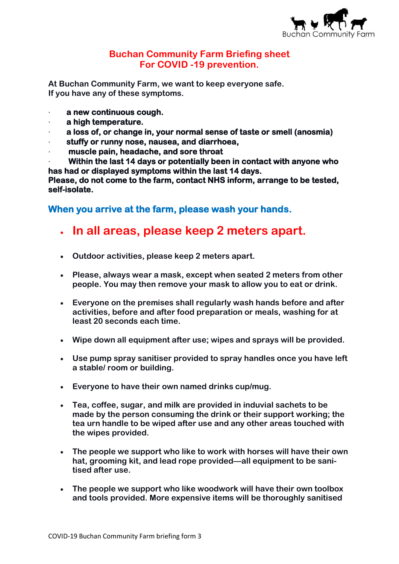

## **Buchan Community Farm Briefing sheet For COVID -19 prevention.**

**At Buchan Community Farm, we want to keep everyone safe. If you have any of these symptoms.**

- · **a new continuous cough.**
- · **a high temperature.**
- · **a loss of, or change in, your normal sense of taste or smell (anosmia)**
- · **stuffy or runny nose, nausea, and diarrhoea,**
- · **muscle pain, headache, and sore throat**
- · **Within the last 14 days or potentially been in contact with anyone who has had or displayed symptoms within the last 14 days.**

**Please, do not come to the farm, contact NHS inform, arrange to be tested, self-isolate.**

**When you arrive at the farm, please wash your hands.** 

- **In all areas, please keep 2 meters apart.**
- **Outdoor activities, please keep 2 meters apart.**
- **Please, always wear a mask, except when seated 2 meters from other people. You may then remove your mask to allow you to eat or drink.**
- **Everyone on the premises shall regularly wash hands before and after activities, before and after food preparation or meals, washing for at least 20 seconds each time.**
- **Wipe down all equipment after use; wipes and sprays will be provided.**
- **Use pump spray sanitiser provided to spray handles once you have left a stable/ room or building.**
- **Everyone to have their own named drinks cup/mug.**
- **Tea, coffee, sugar, and milk are provided in induvial sachets to be made by the person consuming the drink or their support working; the tea urn handle to be wiped after use and any other areas touched with the wipes provided.**
- **The people we support who like to work with horses will have their own hat, grooming kit, and lead rope provided—all equipment to be sanitised after use.**
- **The people we support who like woodwork will have their own toolbox and tools provided. More expensive items will be thoroughly sanitised**